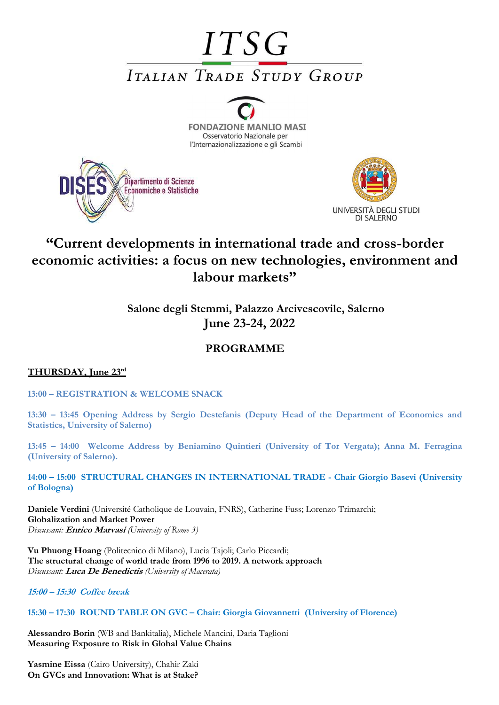# **ITSG ITALIAN TRADE STUDY GROUP**







# **"Current developments in international trade and cross-border economic activities: a focus on new technologies, environment and labour markets"**

**Salone degli Stemmi, Palazzo Arcivescovile, Salerno June 23-24, 2022**

## **PROGRAMME**

### **THURSDAY, June 23rd**

**13:00 – REGISTRATION & WELCOME SNACK**

**13:30 – 13:45 Opening Address by Sergio Destefanis (Deputy Head of the Department of Economics and Statistics, University of Salerno)**

**13:45 – 14:00 Welcome Address by Beniamino Quintieri (University of Tor Vergata); Anna M. Ferragina (University of Salerno).**

**14:00 – 15:00 STRUCTURAL CHANGES IN INTERNATIONAL TRADE - Chair Giorgio Basevi (University of Bologna)** 

**Daniele Verdini** (Université Catholique de Louvain, FNRS), Catherine Fuss; Lorenzo Trimarchi; **Globalization and Market Power** *Discussant:* **Enrico Marvasi** *(University of Rome 3)*

**Vu Phuong Hoang** (Politecnico di Milano), Lucia Tajoli; Carlo Piccardi; **The structural change of world trade from 1996 to 2019. A network approach** *Discussant:* **Luca De Benedictis** *(University of Macerata)*

**15:00 – 15:30 Coffee break**

**15:30 – 17:30 ROUND TABLE ON GVC – Chair: Giorgia Giovannetti (University of Florence)** 

**Alessandro Borin** (WB and Bankitalia), Michele Mancini, Daria Taglioni **Measuring Exposure to Risk in Global Value Chains** 

**Yasmine Eissa** (Cairo University), Chahir Zaki **On GVCs and Innovation: What is at Stake?**